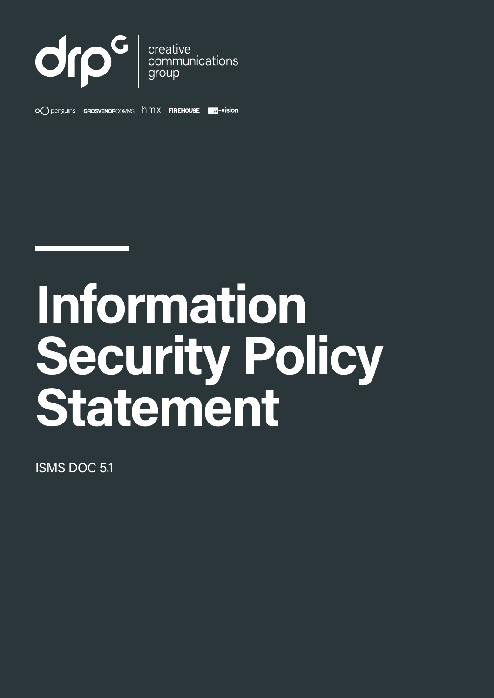

 $\infty$  penguins **GROSVENORCOMMS**  $h$   $|mx$  **FIREHOUSE a**-vision



ISMS DOC 5.1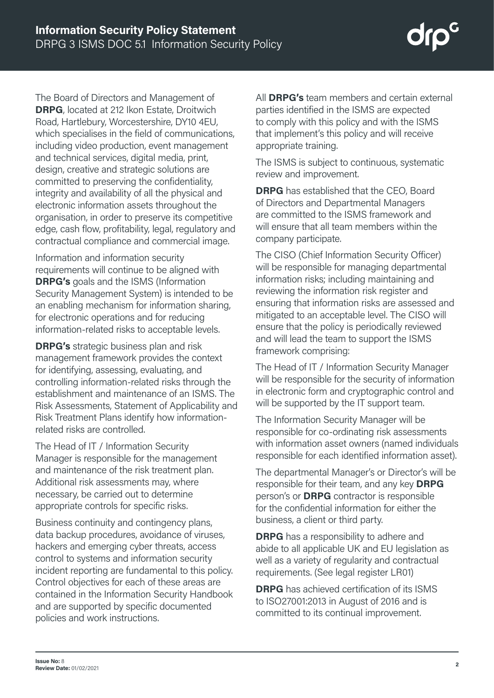The Board of Directors and Management of **DRPG**, located at 212 Ikon Estate, Droitwich Road, Hartlebury, Worcestershire, DY10 4EU, which specialises in the field of communications, including video production, event management and technical services, digital media, print, design, creative and strategic solutions are committed to preserving the confidentiality, integrity and availability of all the physical and electronic information assets throughout the organisation, in order to preserve its competitive edge, cash flow, profitability, legal, regulatory and contractual compliance and commercial image.

Information and information security requirements will continue to be aligned with **DRPG's** goals and the ISMS (Information Security Management System) is intended to be an enabling mechanism for information sharing, for electronic operations and for reducing information-related risks to acceptable levels.

**DRPG's** strategic business plan and risk management framework provides the context for identifying, assessing, evaluating, and controlling information-related risks through the establishment and maintenance of an ISMS. The Risk Assessments, Statement of Applicability and Risk Treatment Plans identify how informationrelated risks are controlled.

The Head of IT / Information Security Manager is responsible for the management and maintenance of the risk treatment plan. Additional risk assessments may, where necessary, be carried out to determine appropriate controls for specific risks.

Business continuity and contingency plans, data backup procedures, avoidance of viruses, hackers and emerging cyber threats, access control to systems and information security incident reporting are fundamental to this policy. Control objectives for each of these areas are contained in the Information Security Handbook and are supported by specific documented policies and work instructions.

All **DRPG's** team members and certain external parties identified in the ISMS are expected to comply with this policy and with the ISMS that implement's this policy and will receive appropriate training.

The ISMS is subject to continuous, systematic review and improvement.

**DRPG** has established that the CEO, Board of Directors and Departmental Managers are committed to the ISMS framework and will ensure that all team members within the company participate.

The CISO (Chief Information Security Officer) will be responsible for managing departmental information risks; including maintaining and reviewing the information risk register and ensuring that information risks are assessed and mitigated to an acceptable level. The CISO will ensure that the policy is periodically reviewed and will lead the team to support the ISMS framework comprising:

The Head of IT / Information Security Manager will be responsible for the security of information in electronic form and cryptographic control and will be supported by the IT support team.

The Information Security Manager will be responsible for co-ordinating risk assessments with information asset owners (named individuals responsible for each identified information asset).

The departmental Manager's or Director's will be responsible for their team, and any key **DRPG** person's or **DRPG** contractor is responsible for the confidential information for either the business, a client or third party.

**DRPG** has a responsibility to adhere and abide to all applicable UK and EU legislation as well as a variety of regularity and contractual requirements. (See legal register LR01)

**DRPG** has achieved certification of its ISMS to ISO27001:2013 in August of 2016 and is committed to its continual improvement.